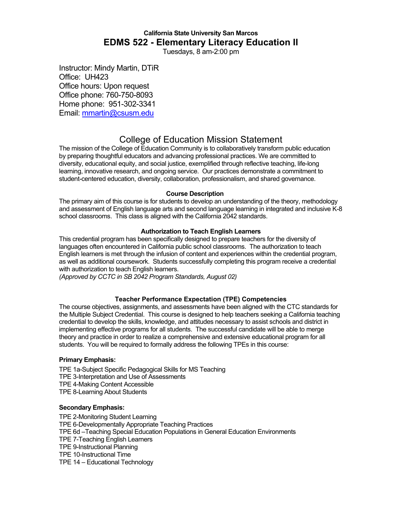# **California State University San Marcos EDMS 522 - Elementary Literacy Education II**

Tuesdays, 8 am-2:00 pm

Instructor: Mindy Martin, DTiR Office: UH423 Office hours: Upon request Office phone: 760-750-8093 Home phone: 951-302-3341 Email: mmartin@csusm.edu

# College of Education Mission Statement

The mission of the College of Education Community is to collaboratively transform public education by preparing thoughtful educators and advancing professional practices. We are committed to diversity, educational equity, and social justice, exemplified through reflective teaching, life-long learning, innovative research, and ongoing service. Our practices demonstrate a commitment to student-centered education, diversity, collaboration, professionalism, and shared governance.

## **Course Description**

The primary aim of this course is for students to develop an understanding of the theory, methodology and assessment of English language arts and second language learning in integrated and inclusive K-8 school classrooms. This class is aligned with the California 2042 standards.

## **Authorization to Teach English Learners**

This credential program has been specifically designed to prepare teachers for the diversity of languages often encountered in California public school classrooms. The authorization to teach English learners is met through the infusion of content and experiences within the credential program, as well as additional coursework. Students successfully completing this program receive a credential with authorization to teach English learners.

*(Approved by CCTC in SB 2042 Program Standards, August 02)*

## **Teacher Performance Expectation (TPE) Competencies**

The course objectives, assignments, and assessments have been aligned with the CTC standards for the Multiple Subject Credential. This course is designed to help teachers seeking a California teaching credential to develop the skills, knowledge, and attitudes necessary to assist schools and district in implementing effective programs for all students. The successful candidate will be able to merge theory and practice in order to realize a comprehensive and extensive educational program for all students. You will be required to formally address the following TPEs in this course:

## **Primary Emphasis:**

TPE 1a-Subject Specific Pedagogical Skills for MS Teaching TPE 3-Interpretation and Use of Assessments TPE 4-Making Content Accessible TPE 8-Learning About Students

## **Secondary Emphasis:**

TPE 2-Monitoring Student Learning TPE 6-Developmentally Appropriate Teaching Practices TPE 6d –Teaching Special Education Populations in General Education Environments TPE 7-Teaching English Learners TPE 9-Instructional Planning TPE 10-Instructional Time TPE 14 – Educational Technology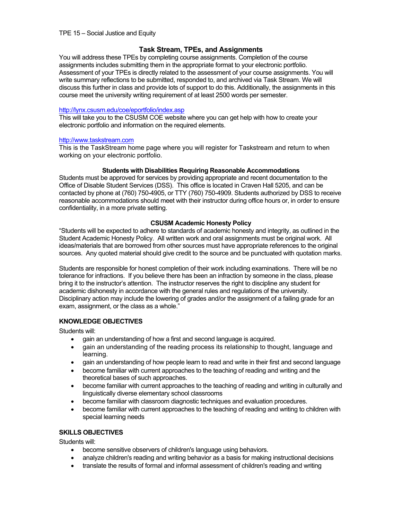## **Task Stream, TPEs, and Assignments**

You will address these TPEs by completing course assignments. Completion of the course assignments includes submitting them in the appropriate format to your electronic portfolio. Assessment of your TPEs is directly related to the assessment of your course assignments. You will write summary reflections to be submitted, responded to, and archived via Task Stream. We will discuss this further in class and provide lots of support to do this. Additionally, the assignments in this course meet the university writing requirement of at least 2500 words per semester.

## http://lynx.csusm.edu/coe/eportfolio/index.asp

This will take you to the CSUSM COE website where you can get help with how to create your electronic portfolio and information on the required elements.

## http://www.taskstream.com

This is the TaskStream home page where you will register for Taskstream and return to when working on your electronic portfolio.

## **Students with Disabilities Requiring Reasonable Accommodations**

Students must be approved for services by providing appropriate and recent documentation to the Office of Disable Student Services (DSS). This office is located in Craven Hall 5205, and can be contacted by phone at (760) 750-4905, or TTY (760) 750-4909. Students authorized by DSS to receive reasonable accommodations should meet with their instructor during office hours or, in order to ensure confidentiality, in a more private setting.

## **CSUSM Academic Honesty Policy**

"Students will be expected to adhere to standards of academic honesty and integrity, as outlined in the Student Academic Honesty Policy. All written work and oral assignments must be original work. All ideas/materials that are borrowed from other sources must have appropriate references to the original sources. Any quoted material should give credit to the source and be punctuated with quotation marks.

Students are responsible for honest completion of their work including examinations. There will be no tolerance for infractions. If you believe there has been an infraction by someone in the class, please bring it to the instructor's attention. The instructor reserves the right to discipline any student for academic dishonesty in accordance with the general rules and regulations of the university. Disciplinary action may include the lowering of grades and/or the assignment of a failing grade for an exam, assignment, or the class as a whole."

## **KNOWLEDGE OBJECTIVES**

Students will:

- gain an understanding of how a first and second language is acquired.
- gain an understanding of the reading process its relationship to thought, language and learning.
- gain an understanding of how people learn to read and write in their first and second language
- become familiar with current approaches to the teaching of reading and writing and the theoretical bases of such approaches.
- become familiar with current approaches to the teaching of reading and writing in culturally and linguistically diverse elementary school classrooms
- become familiar with classroom diagnostic techniques and evaluation procedures.
- become familiar with current approaches to the teaching of reading and writing to children with special learning needs

## **SKILLS OBJECTIVES**

Students will:

- become sensitive observers of children's language using behaviors.
- analyze children's reading and writing behavior as a basis for making instructional decisions
- translate the results of formal and informal assessment of children's reading and writing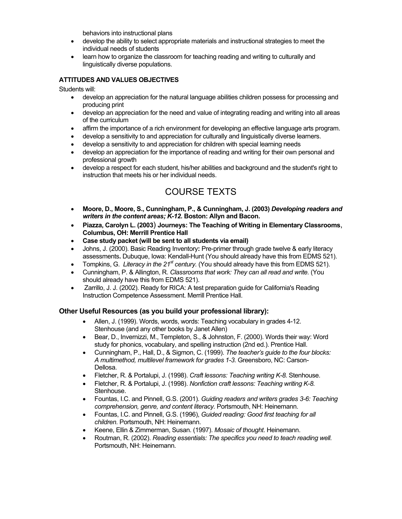behaviors into instructional plans

- develop the ability to select appropriate materials and instructional strategies to meet the individual needs of students
- learn how to organize the classroom for teaching reading and writing to culturally and linguistically diverse populations.

## **ATTITUDES AND VALUES OBJECTIVES**

Students will:

- develop an appreciation for the natural language abilities children possess for processing and producing print
- develop an appreciation for the need and value of integrating reading and writing into all areas of the curriculum
- affirm the importance of a rich environment for developing an effective language arts program.
- develop a sensitivity to and appreciation for culturally and linguistically diverse learners.
- develop a sensitivity to and appreciation for children with special learning needs
- develop an appreciation for the importance of reading and writing for their own personal and professional growth
- develop a respect for each student, his/her abilities and background and the student's right to instruction that meets his or her individual needs.

# COURSE TEXTS

- **Moore, D., Moore, S., Cunningham, P., & Cunningham, J. (2003)** *Developing readers and writers in the content areas; K-12.* **Boston: Allyn and Bacon.**
- **Piazza, Carolyn L. (2003**) **Journeys: The Teaching of Writing in Elementary Classrooms**, **Columbus, OH: Merrill Prentice Hall**
- **Case study packet (will be sent to all students via email)**
- Johns, J. (2000). Basic Reading Inventory**:** Pre-primer through grade twelve & early literacy assessments**.** Dubuque, Iowa: Kendall-Hunt (You should already have this from EDMS 521).
- Tompkins, G. *Literacy in the 21<sup>st</sup> century.* (You should already have this from EDMS 521).
- Cunningham, P. & Allington, R. *Classrooms that work: They can all read and write.* (You should already have this from EDMS 521).
- Zarrillo, J. J. (2002). Ready for RICA: A test preparation guide for California's Reading Instruction Competence Assessment. Merrill Prentice Hall.

## **Other Useful Resources (as you build your professional library):**

- Allen, J. (1999). Words, words, words: Teaching vocabulary in grades 4-12. Stenhouse (and any other books by Janet Allen)
- Bear, D., Invernizzi, M., Templeton, S., & Johnston, F. (2000). Words their way: Word study for phonics, vocabulary, and spelling instruction (2nd ed.). Prentice Hall.
- Cunningham, P., Hall, D., & Sigmon, C. (1999). *The teacher's guide to the four blocks: A multimethod, multilevel framework for grades 1-3.* Greensboro, NC: Carson-Dellosa.
- Fletcher, R. & Portalupi, J. (1998). *Craft lessons: Teaching writing K-8.* Stenhouse.
- Fletcher, R. & Portalupi, J. (1998). *Nonfiction craft lessons: Teaching writing K-8.*  Stenhouse.
- Fountas, I.C. and Pinnell, G.S. (2001). *Guiding readers and writers grades 3-6: Teaching comprehension, genre, and content literacy.* Portsmouth, NH: Heinemann.
- Fountas, I.C. and Pinnell, G.S. (1996), *Guided reading: Good first teaching for all children.* Portsmouth, NH: Heinemann.
- Keene, Ellin & Zimmerman, Susan. (1997). *Mosaic of thought*. Heinemann.
- Routman, R. (2002). *Reading essentials: The specifics you need to teach reading well.*  Portsmouth, NH: Heinemann.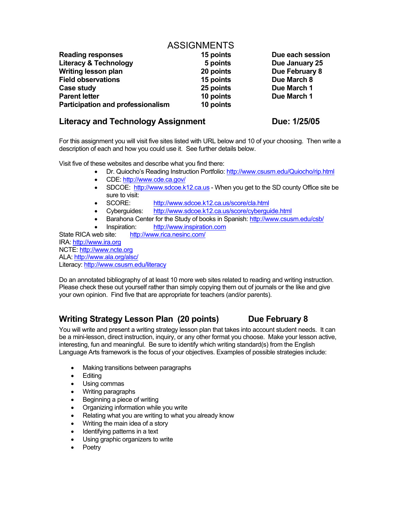# **ASSIGNMENTS**

| <b>Reading responses</b>                 | 15 points | Due each session |
|------------------------------------------|-----------|------------------|
| <b>Literacy &amp; Technology</b>         | 5 points  | Due January 25   |
| <b>Writing lesson plan</b>               | 20 points | Due February 8   |
| <b>Field observations</b>                | 15 points | Due March 8      |
| Case study                               | 25 points | Due March 1      |
| <b>Parent letter</b>                     | 10 points | Due March 1      |
| <b>Participation and professionalism</b> | 10 points |                  |

# Literacy and Technology Assignment **Due: 1/25/05**

For this assignment you will visit five sites listed with URL below and 10 of your choosing. Then write a description of each and how you could use it. See further details below.

Visit five of these websites and describe what you find there:

- Dr. Quiocho's Reading Instruction Portfolio: http://www.csusm.edu/Quiocho/rip.html
- CDE: http://www.cde.ca.gov/
- SDCOE: http://www.sdcoe.k12.ca.us When you get to the SD county Office site be sure to visit:
- SCORE: http://www.sdcoe.k12.ca.us/score/cla.html
- Cyberguides: http://www.sdcoe.k12.ca.us/score/cyberguide.html
- Barahona Center for the Study of books in Spanish: http://www.csusm.edu/csb/
- Inspiration: http://www.inspiration.com

State RICA web site: http://www.rica.nesinc.com/ IRA: http://www.ira.org NCTE: http://www.ncte.org ALA: http://www.ala.org/alsc/ Literacy: http://www.csusm.edu/literacy

Do an annotated bibliography of at least 10 more web sites related to reading and writing instruction. Please check these out yourself rather than simply copying them out of journals or the like and give your own opinion. Find five that are appropriate for teachers (and/or parents).

# Writing Strategy Lesson Plan (20 points) Due February 8

You will write and present a writing strategy lesson plan that takes into account student needs. It can be a mini-lesson, direct instruction, inquiry, or any other format you choose. Make your lesson active, interesting, fun and meaningful. Be sure to identify which writing standard(s) from the English Language Arts framework is the focus of your objectives. Examples of possible strategies include:

- Making transitions between paragraphs
- Editing
- Using commas
- Writing paragraphs
- Beginning a piece of writing
- Organizing information while you write
- Relating what you are writing to what you already know
- Writing the main idea of a story
- Identifying patterns in a text
- Using graphic organizers to write
- Poetry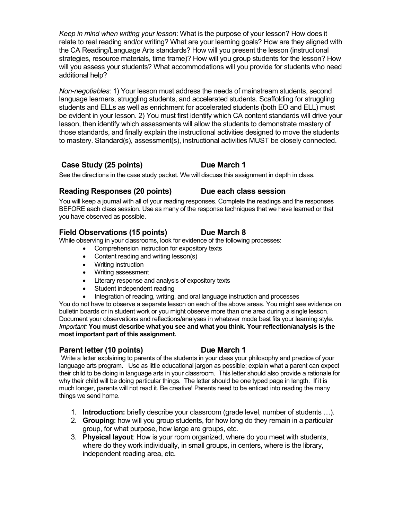*Keep in mind when writing your lesson*: What is the purpose of your lesson? How does it relate to real reading and/or writing? What are your learning goals? How are they aligned with the CA Reading/Language Arts standards? How will you present the lesson (instructional strategies, resource materials, time frame)? How will you group students for the lesson? How will you assess your students? What accommodations will you provide for students who need additional help?

*Non-negotiables*: 1) Your lesson must address the needs of mainstream students, second language learners, struggling students, and accelerated students. Scaffolding for struggling students and ELLs as well as enrichment for accelerated students (both EO and ELL) must be evident in your lesson. 2) You must first identify which CA content standards will drive your lesson, then identify which assessments will allow the students to demonstrate mastery of those standards, and finally explain the instructional activities designed to move the students to mastery. Standard(s), assessment(s), instructional activities MUST be closely connected.

## Case Study (25 points) Due March 1

See the directions in the case study packet. We will discuss this assignment in depth in class.

## **Reading Responses (20 points) Due each class session**

You will keep a journal with all of your reading responses. Complete the readings and the responses BEFORE each class session. Use as many of the response techniques that we have learned or that you have observed as possible.

## **Field Observations (15 points) Due March 8**

While observing in your classrooms, look for evidence of the following processes:

- Comprehension instruction for expository texts
- Content reading and writing lesson(s)
- Writing instruction
- Writing assessment
- Literary response and analysis of expository texts
- Student independent reading
- Integration of reading, writing, and oral language instruction and processes

You do not have to observe a separate lesson on each of the above areas. You might see evidence on bulletin boards or in student work or you might observe more than one area during a single lesson. Document your observations and reflections/analyses in whatever mode best fits your learning style. *Important:* **You must describe what you see and what you think. Your reflection/analysis is the most important part of this assignment.** 

## **Parent letter (10 points) Due March 1**

Write a letter explaining to parents of the students in your class your philosophy and practice of your language arts program. Use as little educational jargon as possible; explain what a parent can expect their child to be doing in language arts in your classroom. This letter should also provide a rationale for why their child will be doing particular things. The letter should be one typed page in length. If it is much longer, parents will not read it. Be creative! Parents need to be enticed into reading the many things we send home.

- 1. **Introduction:** briefly describe your classroom (grade level, number of students …).
- 2. **Grouping**: how will you group students, for how long do they remain in a particular group, for what purpose, how large are groups, etc.
- 3. **Physical layout**: How is your room organized, where do you meet with students, where do they work individually, in small groups, in centers, where is the library, independent reading area, etc.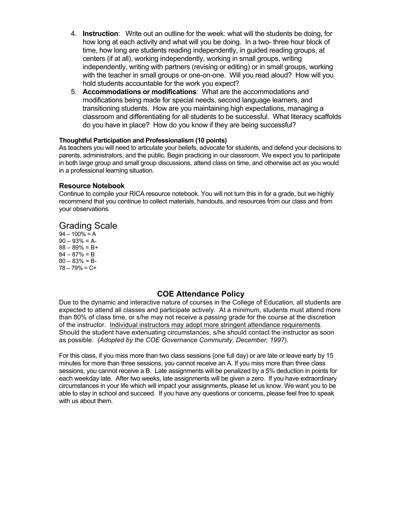- 4. **Instruction**: Write out an outline for the week: what will the students be doing, for how long at each activity and what will you be doing. In a two- three hour block of time, how long are students reading independently, in guided reading groups, at centers (if at all), working independently, working in small groups, writing independently, writing with partners (revising or editing) or in small groups, working with the teacher in small groups or one-on-one. Will you read aloud? How will you hold students accountable for the work you expect?
- 5. **Accommodations or modifications**: What are the accommodations and modifications being made for special needs, second language learners, and transitioning students. How are you maintaining high expectations, managing a classroom and differentiating for all students to be successful. What literacy scaffolds do you have in place? How do you know if they are being successful?

## **Thoughtful Participation and Professionalism (10 points)**

As teachers you will need to articulate your beliefs, advocate for students, and defend your decisions to parents, administrators, and the public. Begin practicing in our classroom. We expect you to participate in both large group and small group discussions, attend class on time, and otherwise act as you would in a professional learning situation.

## **Resource Notebook**

Continue to compile your RICA resource notebook. You will not turn this in for a grade, but we highly recommend that you continue to collect materials, handouts, and resources from our class and from your observations.

## Grading Scale

 $94 - 100\% = A$  $90 - 93\% = A$  $88 - 89\% = B +$  $84 - 87\% = B$  $80 - 83\% = B$ 78 – 79% = C+

## **COE Attendance Policy**

Due to the dynamic and interactive nature of courses in the College of Education, all students are expected to attend all classes and participate actively. At a minimum, students must attend more than 80% of class time, or s/he may not receive a passing grade for the course at the discretion of the instructor. Individual instructors may adopt more stringent attendance requirements. Should the student have extenuating circumstances, s/he should contact the instructor as soon as possible. *(Adopted by the COE Governance Community, December, 1997).*

For this class, if you miss more than two class sessions (one full day) or are late or leave early by 15 minutes for more than three sessions, you cannot receive an A. If you miss more than three class sessions, you cannot receive a B. Late assignments will be penalized by a 5% deduction in points for each weekday late. After two weeks, late assignments will be given a zero. If you have extraordinary circumstances in your life which will impact your assignments, please let us know. We want you to be able to stay in school and succeed. If you have any questions or concerns, please feel free to speak with us about them.